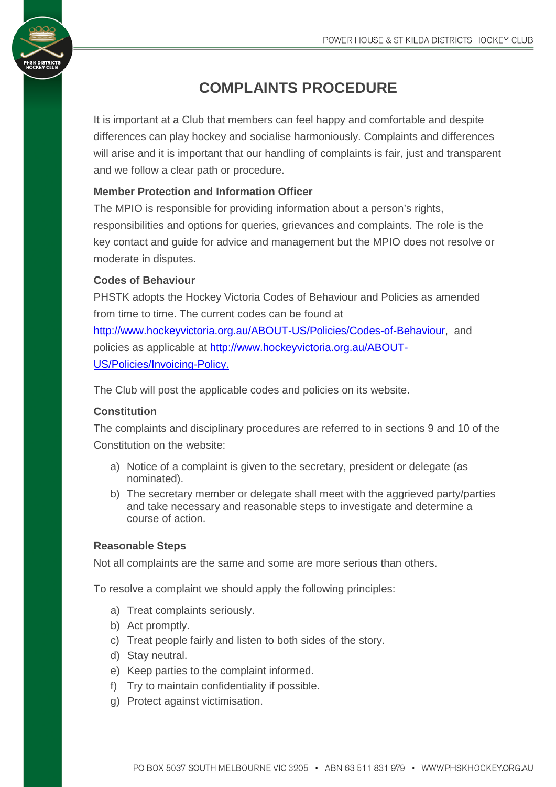# **COMPLAINTS PROCEDURE**

It is important at a Club that members can feel happy and comfortable and despite differences can play hockey and socialise harmoniously. Complaints and differences will arise and it is important that our handling of complaints is fair, just and transparent and we follow a clear path or procedure.

## **Member Protection and Information Officer**

The MPIO is responsible for providing information about a person's rights, responsibilities and options for queries, grievances and complaints. The role is the key contact and guide for advice and management but the MPIO does not resolve or moderate in disputes.

### **Codes of Behaviour**

PHSTK adopts the Hockey Victoria Codes of Behaviour and Policies as amended from time to time. The current codes can be found at [http://www.hockeyvictoria.org.au/ABOUT-US/Policies/Codes-of-Behaviour,](http://www.hockeyvictoria.org.au/ABOUT-US/Policies/Codes-of-Behaviour) and policies as applicable at [http://www.hockeyvictoria.org.au/ABOUT-](http://www.hockeyvictoria.org.au/ABOUT-US/Policies/Invoicing-Policy)[US/Policies/Invoicing-Policy.](http://www.hockeyvictoria.org.au/ABOUT-US/Policies/Invoicing-Policy)

The Club will post the applicable codes and policies on its website.

### **Constitution**

The complaints and disciplinary procedures are referred to in sections 9 and 10 of the Constitution on the website:

- a) Notice of a complaint is given to the secretary, president or delegate (as nominated).
- b) The secretary member or delegate shall meet with the aggrieved party/parties and take necessary and reasonable steps to investigate and determine a course of action.

### **Reasonable Steps**

Not all complaints are the same and some are more serious than others.

To resolve a complaint we should apply the following principles:

- a) Treat complaints seriously.
- b) Act promptly.
- c) Treat people fairly and listen to both sides of the story.
- d) Stay neutral.
- e) Keep parties to the complaint informed.
- f) Try to maintain confidentiality if possible.
- g) Protect against victimisation.